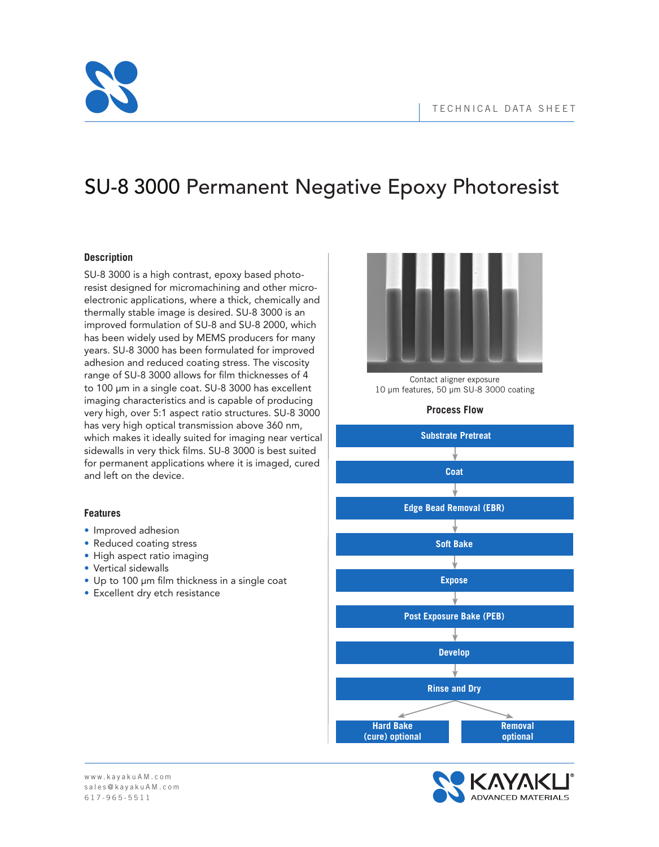

# SU-8 3000 Permanent Negative Epoxy Photoresist

### **Description**

SU-8 3000 is a high contrast, epoxy based photoresist designed for micromachining and other microelectronic applications, where a thick, chemically and thermally stable image is desired. SU-8 3000 is an improved formulation of SU-8 and SU-8 2000, which has been widely used by MEMS producers for many years. SU-8 3000 has been formulated for improved adhesion and reduced coating stress. The viscosity range of SU-8 3000 allows for film thicknesses of 4 to 100 μm in a single coat. SU-8 3000 has excellent imaging characteristics and is capable of producing very high, over 5:1 aspect ratio structures. SU-8 3000 has very high optical transmission above 360 nm, which makes it ideally suited for imaging near vertical sidewalls in very thick films. SU-8 3000 is best suited for permanent applications where it is imaged, cured and left on the device.

### **Features**

- Improved adhesion
- Reduced coating stress
- High aspect ratio imaging
- Vertical sidewalls
- Up to 100 μm film thickness in a single coat
- Excellent dry etch resistance



Contact aligner exposure 10 µm features, 50 µm SU-8 3000 coating

### **Process Flow**

**Substrate Pretreat** ↓ **Coat Edge Bead Removal (EBR) Soft Bake Expose Post Exposure Bake (PEB) Develop Rinse and Dry Hard Bake Removal (cure) optional optional**

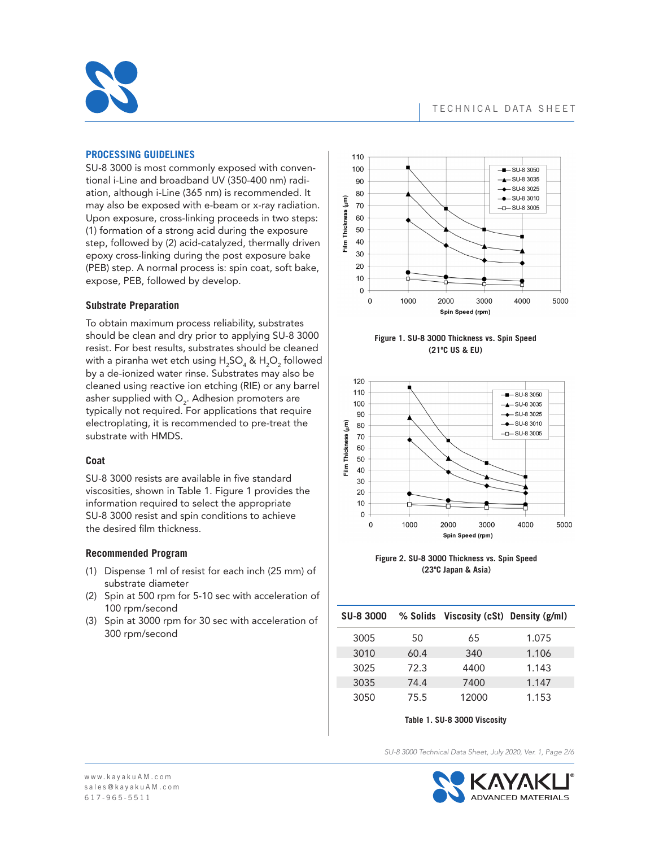

### **PROCESSING GUIDELINES**

SU-8 3000 is most commonly exposed with conventional i-Line and broadband UV (350-400 nm) radiation, although i-Line (365 nm) is recommended. It may also be exposed with e-beam or x-ray radiation. Upon exposure, cross-linking proceeds in two steps: (1) formation of a strong acid during the exposure step, followed by (2) acid-catalyzed, thermally driven epoxy cross-linking during the post exposure bake (PEB) step. A normal process is: spin coat, soft bake, expose, PEB, followed by develop.

#### **Substrate Preparation**

To obtain maximum process reliability, substrates should be clean and dry prior to applying SU-8 3000 resist. For best results, substrates should be cleaned with a piranha wet etch using  $\mathsf{H}_2\mathsf{SO}_4^{\vphantom{\dag}}$  &  $\mathsf{H}_2\mathsf{O}_2^{\vphantom{\dag}}$  followed by a de-ionized water rinse. Substrates may also be cleaned using reactive ion etching (RIE) or any barrel asher supplied with  $\mathsf{O}_2$ . Adhesion promoters are typically not required. For applications that require electroplating, it is recommended to pre-treat the substrate with HMDS.

### **Coat**

SU-8 3000 resists are available in five standard viscosities, shown in Table 1. Figure 1 provides the information required to select the appropriate SU-8 3000 resist and spin conditions to achieve the desired film thickness.

### **Recommended Program**

- (1) Dispense 1 ml of resist for each inch (25 mm) of substrate diameter
- (2) Spin at 500 rpm for 5-10 sec with acceleration of 100 rpm/second
- (3) Spin at 3000 rpm for 30 sec with acceleration of 300 rpm/second



**Figure 1. SU-8 3000 Thickness vs. Spin Speed (21ºC US & EU)**



**Figure 2. SU-8 3000 Thickness vs. Spin Speed (23ºC Japan & Asia)**

| <b>SU-8 3000</b> |      | % Solids Viscosity (cSt) Density (g/ml) |       |
|------------------|------|-----------------------------------------|-------|
| 3005             | 50   | 65                                      | 1.075 |
| 3010             | 60.4 | 340                                     | 1.106 |
| 3025             | 72.3 | 4400                                    | 1.143 |
| 3035             | 74.4 | 7400                                    | 1.147 |
| 3050             | 75.5 | 12000                                   | 1.153 |

**Table 1. SU-8 3000 Viscosity**

*SU-8 3000 Technical Data Sheet, July 2020, Ver. 1, Page 2/6*

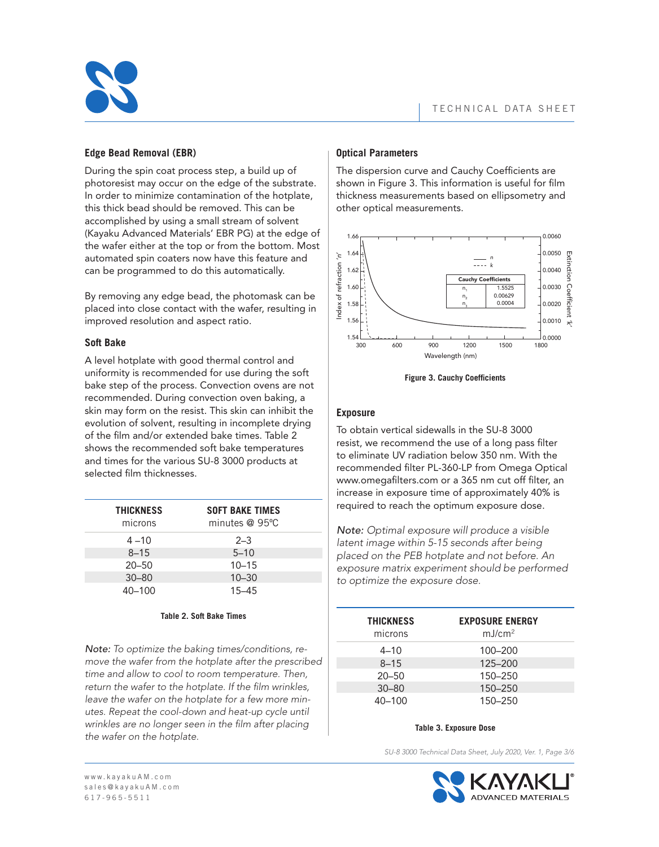

## **Edge Bead Removal (EBR)**

During the spin coat process step, a build up of photoresist may occur on the edge of the substrate. In order to minimize contamination of the hotplate, this thick bead should be removed. This can be accomplished by using a small stream of solvent (Kayaku Advanced Materials' EBR PG) at the edge of the wafer either at the top or from the bottom. Most automated spin coaters now have this feature and can be programmed to do this automatically.

By removing any edge bead, the photomask can be placed into close contact with the wafer, resulting in improved resolution and aspect ratio.

### **Soft Bake**

A level hotplate with good thermal control and uniformity is recommended for use during the soft bake step of the process. Convection ovens are not recommended. During convection oven baking, a skin may form on the resist. This skin can inhibit the evolution of solvent, resulting in incomplete drying of the film and/or extended bake times. Table 2 shows the recommended soft bake temperatures and times for the various SU-8 3000 products at selected film thicknesses.

| <b>THICKNESS</b><br>microns | <b>SOFT BAKE TIMES</b><br>minutes @ 95°C |
|-----------------------------|------------------------------------------|
| $4 - 10$                    | $2 - 3$                                  |
| $8 - 15$                    | $5 - 10$                                 |
| $20 - 50$                   | $10 - 15$                                |
| $30 - 80$                   | $10 - 30$                                |
| $40 - 100$                  | $15 - 45$                                |

#### **Table 2. Soft Bake Times**

*Note: To optimize the baking times/conditions, remove the wafer from the hotplate after the prescribed time and allow to cool to room temperature. Then, return the wafer to the hotplate. If the film wrinkles, leave the wafer on the hotplate for a few more minutes. Repeat the cool-down and heat-up cycle until wrinkles are no longer seen in the film after placing the wafer on the hotplate.*

## **Optical Parameters**

The dispersion curve and Cauchy Coefficients are shown in Figure 3. This information is useful for film thickness measurements based on ellipsometry and other optical measurements.



**Figure 3. Cauchy Coefficients**

### **Exposure**

To obtain vertical sidewalls in the SU-8 3000 resist, we recommend the use of a long pass filter to eliminate UV radiation below 350 nm. With the recommended filter PL-360-LP from Omega Optical www.omegafilters.com or a 365 nm cut off filter, an increase in exposure time of approximately 40% is required to reach the optimum exposure dose.

*Note: Optimal exposure will produce a visible latent image within 5-15 seconds after being placed on the PEB hotplate and not before. An exposure matrix experiment should be performed to optimize the exposure dose.*

| <b>THICKNESS</b><br>microns | <b>EXPOSURE ENERGY</b><br>mJ/cm <sup>2</sup> |
|-----------------------------|----------------------------------------------|
| $4 - 10$                    | 100-200                                      |
| $8 - 15$                    | 125-200                                      |
| $20 - 50$                   | 150-250                                      |
| $30 - 80$                   | 150-250                                      |
| $40 - 100$                  | 150-250                                      |

#### **Table 3. Exposure Dose**

*SU-8 3000 Technical Data Sheet, July 2020, Ver. 1, Page 3/6*

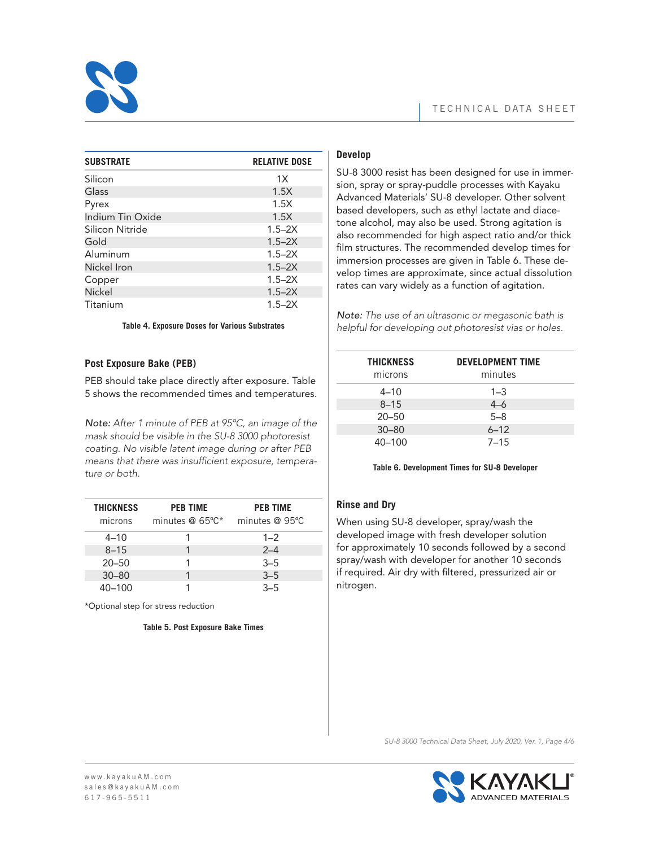

| <b>SUBSTRATE</b> | <b>RELATIVE DOSE</b> |
|------------------|----------------------|
|                  |                      |
| Silicon          | 1X                   |
| Glass            | 1.5X                 |
| Pyrex            | 1.5X                 |
| Indium Tin Oxide | 1.5X                 |
| Silicon Nitride  | $1.5 - 2X$           |
| Gold             | $1.5 - 2X$           |
| Aluminum         | $1.5 - 2X$           |
| Nickel Iron      | $1.5 - 2X$           |
| Copper           | $1.5 - 2X$           |
| Nickel           | $1.5 - 2X$           |
| Titanium         | $1.5 - 2X$           |

#### **Table 4. Exposure Doses for Various Substrates**

### **Post Exposure Bake (PEB)**

PEB should take place directly after exposure. Table 5 shows the recommended times and temperatures.

*Note: After 1 minute of PEB at 95ºC, an image of the mask should be visible in the SU-8 3000 photoresist coating. No visible latent image during or after PEB means that there was insufficient exposure, temperature or both.*

| <b>THICKNESS</b><br>microns | <b>PEB TIME</b><br>minutes $@$ 65°C* | <b>PEB TIME</b><br>minutes @ 95°C |
|-----------------------------|--------------------------------------|-----------------------------------|
| $4 - 10$                    |                                      | $1 - 2$                           |
| $8 - 15$                    |                                      | $2 - 4$                           |
| $20 - 50$                   |                                      | $3 - 5$                           |
| $30 - 80$                   |                                      | $3 - 5$                           |
| $40 - 100$                  |                                      | $3 - 5$                           |

\*Optional step for stress reduction

#### **Table 5. Post Exposure Bake Times**

## **Develop**

SU-8 3000 resist has been designed for use in immersion, spray or spray-puddle processes with Kayaku Advanced Materials' SU-8 developer. Other solvent based developers, such as ethyl lactate and diacetone alcohol, may also be used. Strong agitation is also recommended for high aspect ratio and/or thick film structures. The recommended develop times for immersion processes are given in Table 6. These develop times are approximate, since actual dissolution rates can vary widely as a function of agitation.

*Note: The use of an ultrasonic or megasonic bath is helpful for developing out photoresist vias or holes.*

| <b>THICKNESS</b><br>microns | <b>DEVELOPMENT TIME</b><br>minutes |
|-----------------------------|------------------------------------|
| $4 - 10$                    | $1 - 3$                            |
| $8 - 15$                    | $4 - 6$                            |
| $20 - 50$                   | $5 - 8$                            |
| $30 - 80$                   | $6 - 12$                           |
| $40 - 100$                  | $7 - 15$                           |

**Table 6. Development Times for SU-8 Developer**

### **Rinse and Dry**

When using SU-8 developer, spray/wash the developed image with fresh developer solution for approximately 10 seconds followed by a second spray/wash with developer for another 10 seconds if required. Air dry with filtered, pressurized air or nitrogen.

*SU-8 3000 Technical Data Sheet, July 2020, Ver. 1, Page 4/6*

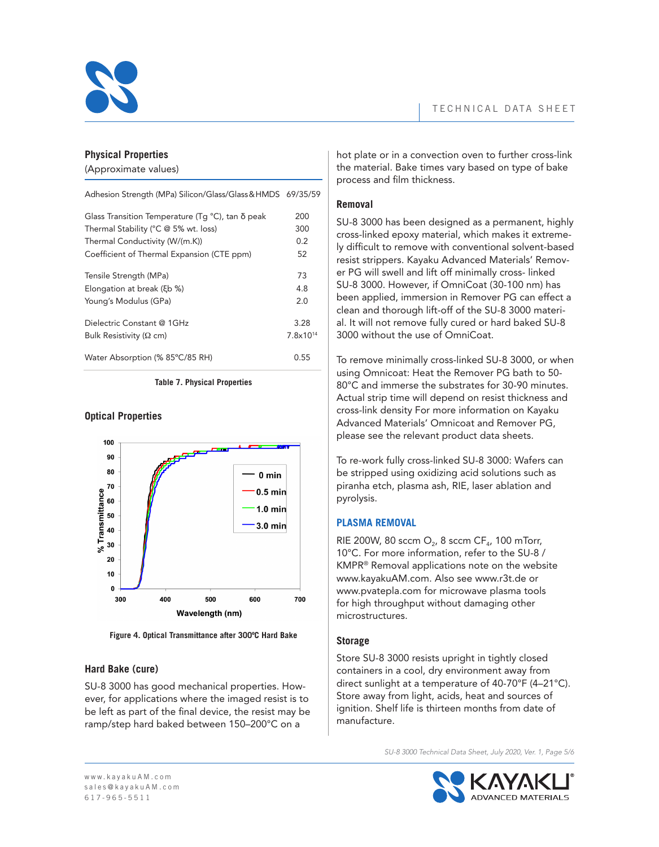

## **Physical Properties**

(Approximate values)

| Adhesion Strength (MPa) Silicon/Glass/Glass & HMDS 69/35/59       |                      |
|-------------------------------------------------------------------|----------------------|
| Glass Transition Temperature (Tq $^{\circ}$ C), tan $\delta$ peak | 200                  |
| Thermal Stability (°C @ 5% wt. loss)                              | 300                  |
| Thermal Conductivity (W/(m.K))                                    | 0.2                  |
| Coefficient of Thermal Expansion (CTE ppm)                        | 52                   |
| Tensile Strength (MPa)                                            | 73                   |
| Elongation at break (ξb %)                                        | 4.8                  |
| Young's Modulus (GPa)                                             | 2.0                  |
| Dielectric Constant @ 1GHz                                        | 3.28                 |
| Bulk Resistivity ( $\Omega$ cm)                                   | 7.8×10 <sup>14</sup> |
| Water Absorption (% 85°C/85 RH)                                   | 0.55                 |
|                                                                   |                      |

**Table 7. Physical Properties** 

## **Optical Properties**



**Figure 4. Optical Transmittance after 300ºC Hard Bake**

## **Hard Bake (cure)**

SU-8 3000 has good mechanical properties. However, for applications where the imaged resist is to be left as part of the final device, the resist may be ramp/step hard baked between 150–200°C on a

hot plate or in a convection oven to further cross-link the material. Bake times vary based on type of bake process and film thickness.

# **Removal**

SU-8 3000 has been designed as a permanent, highly cross-linked epoxy material, which makes it extremely difficult to remove with conventional solvent-based resist strippers. Kayaku Advanced Materials' Remover PG will swell and lift off minimally cross- linked SU-8 3000. However, if OmniCoat (30-100 nm) has been applied, immersion in Remover PG can effect a clean and thorough lift-off of the SU-8 3000 material. It will not remove fully cured or hard baked SU-8 3000 without the use of OmniCoat.

To remove minimally cross-linked SU-8 3000, or when using Omnicoat: Heat the Remover PG bath to 50- 80°C and immerse the substrates for 30-90 minutes. Actual strip time will depend on resist thickness and cross-link density For more information on Kayaku Advanced Materials' Omnicoat and Remover PG, please see the relevant product data sheets.

To re-work fully cross-linked SU-8 3000: Wafers can be stripped using oxidizing acid solutions such as piranha etch, plasma ash, RIE, laser ablation and pyrolysis.

# **PLASMA REMOVAL**

RIE 200W, 80 sccm  $O<sub>2</sub>$ , 8 sccm CF<sub>4</sub>, 100 mTorr, 10°C. For more information, refer to the SU-8 / KMPR® Removal applications note on the website www.kayakuAM.com. Also see www.r3t.de or www.pvatepla.com for microwave plasma tools for high throughput without damaging other microstructures.

# **Storage**

Store SU-8 3000 resists upright in tightly closed containers in a cool, dry environment away from direct sunlight at a temperature of 40-70°F (4–21°C). Store away from light, acids, heat and sources of ignition. Shelf life is thirteen months from date of manufacture.

*SU-8 3000 Technical Data Sheet, July 2020, Ver. 1, Page 5/6*